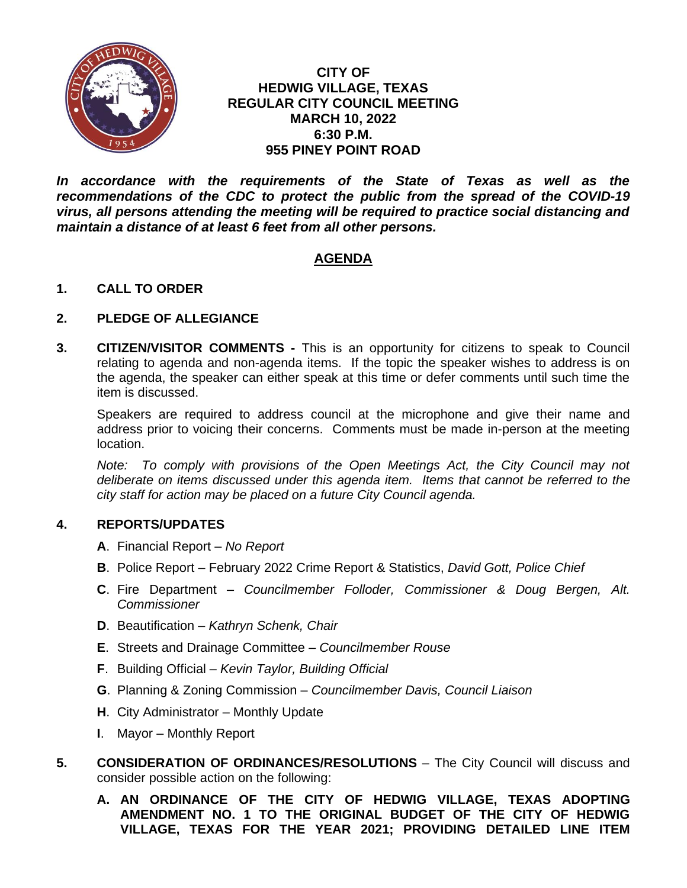

### **CITY OF HEDWIG VILLAGE, TEXAS REGULAR CITY COUNCIL MEETING MARCH 10, 2022 6:30 P.M. 955 PINEY POINT ROAD**

*In accordance with the requirements of the State of Texas as well as the recommendations of the CDC to protect the public from the spread of the COVID-19 virus, all persons attending the meeting will be required to practice social distancing and maintain a distance of at least 6 feet from all other persons.*

# **AGENDA**

## **1. CALL TO ORDER**

### **2. PLEDGE OF ALLEGIANCE**

**3. CITIZEN/VISITOR COMMENTS -** This is an opportunity for citizens to speak to Council relating to agenda and non-agenda items. If the topic the speaker wishes to address is on the agenda, the speaker can either speak at this time or defer comments until such time the item is discussed.

Speakers are required to address council at the microphone and give their name and address prior to voicing their concerns. Comments must be made in-person at the meeting location.

*Note: To comply with provisions of the Open Meetings Act, the City Council may not deliberate on items discussed under this agenda item. Items that cannot be referred to the city staff for action may be placed on a future City Council agenda.*

## **4. REPORTS/UPDATES**

- **A**. Financial Report *No Report*
- **B**. Police Report February 2022 Crime Report & Statistics, *David Gott, Police Chief*
- **C**. Fire Department *Councilmember Folloder, Commissioner & Doug Bergen, Alt. Commissioner*
- **D**. Beautification *Kathryn Schenk, Chair*
- **E**. Streets and Drainage Committee *Councilmember Rouse*
- **F**. Building Official *Kevin Taylor, Building Official*
- **G**. Planning & Zoning Commission *Councilmember Davis, Council Liaison*
- **H**. City Administrator Monthly Update
- **I**. Mayor Monthly Report
- **5. CONSIDERATION OF ORDINANCES/RESOLUTIONS** The City Council will discuss and consider possible action on the following:
	- **A. AN ORDINANCE OF THE CITY OF HEDWIG VILLAGE, TEXAS ADOPTING AMENDMENT NO. 1 TO THE ORIGINAL BUDGET OF THE CITY OF HEDWIG VILLAGE, TEXAS FOR THE YEAR 2021; PROVIDING DETAILED LINE ITEM**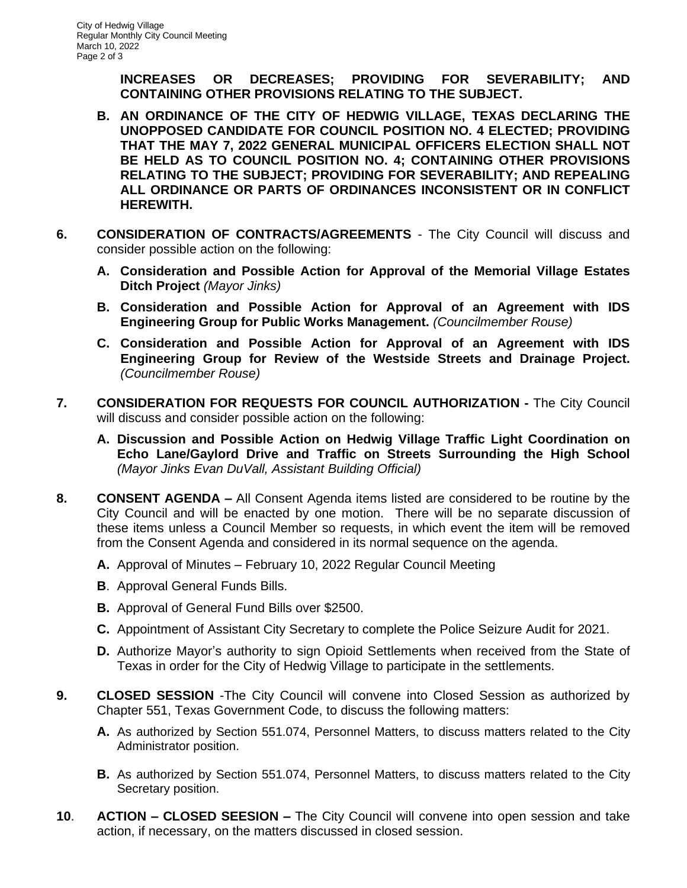**INCREASES OR DECREASES; PROVIDING FOR SEVERABILITY; AND CONTAINING OTHER PROVISIONS RELATING TO THE SUBJECT.**

- **B. AN ORDINANCE OF THE CITY OF HEDWIG VILLAGE, TEXAS DECLARING THE UNOPPOSED CANDIDATE FOR COUNCIL POSITION NO. 4 ELECTED; PROVIDING THAT THE MAY 7, 2022 GENERAL MUNICIPAL OFFICERS ELECTION SHALL NOT BE HELD AS TO COUNCIL POSITION NO. 4; CONTAINING OTHER PROVISIONS RELATING TO THE SUBJECT; PROVIDING FOR SEVERABILITY; AND REPEALING ALL ORDINANCE OR PARTS OF ORDINANCES INCONSISTENT OR IN CONFLICT HEREWITH.**
- **6. CONSIDERATION OF CONTRACTS/AGREEMENTS**  The City Council will discuss and consider possible action on the following:
	- **A. Consideration and Possible Action for Approval of the Memorial Village Estates Ditch Project** *(Mayor Jinks)*
	- **B. Consideration and Possible Action for Approval of an Agreement with IDS Engineering Group for Public Works Management.** *(Councilmember Rouse)*
	- **C. Consideration and Possible Action for Approval of an Agreement with IDS Engineering Group for Review of the Westside Streets and Drainage Project.** *(Councilmember Rouse)*
- **7. CONSIDERATION FOR REQUESTS FOR COUNCIL AUTHORIZATION -** The City Council will discuss and consider possible action on the following:
	- **A. Discussion and Possible Action on Hedwig Village Traffic Light Coordination on Echo Lane/Gaylord Drive and Traffic on Streets Surrounding the High School** *(Mayor Jinks Evan DuVall, Assistant Building Official)*
- **8. CONSENT AGENDA –** All Consent Agenda items listed are considered to be routine by the City Council and will be enacted by one motion. There will be no separate discussion of these items unless a Council Member so requests, in which event the item will be removed from the Consent Agenda and considered in its normal sequence on the agenda.
	- **A.** Approval of Minutes February 10, 2022 Regular Council Meeting
	- **B**. Approval General Funds Bills.
	- **B.** Approval of General Fund Bills over \$2500.
	- **C.** Appointment of Assistant City Secretary to complete the Police Seizure Audit for 2021.
	- **D.** Authorize Mayor's authority to sign Opioid Settlements when received from the State of Texas in order for the City of Hedwig Village to participate in the settlements.
- **9. CLOSED SESSION** -The City Council will convene into Closed Session as authorized by Chapter 551, Texas Government Code, to discuss the following matters:
	- **A.** As authorized by Section 551.074, Personnel Matters, to discuss matters related to the City Administrator position.
	- **B.** As authorized by Section 551.074, Personnel Matters, to discuss matters related to the City Secretary position.
- **10**. **ACTION – CLOSED SEESION –** The City Council will convene into open session and take action, if necessary, on the matters discussed in closed session.